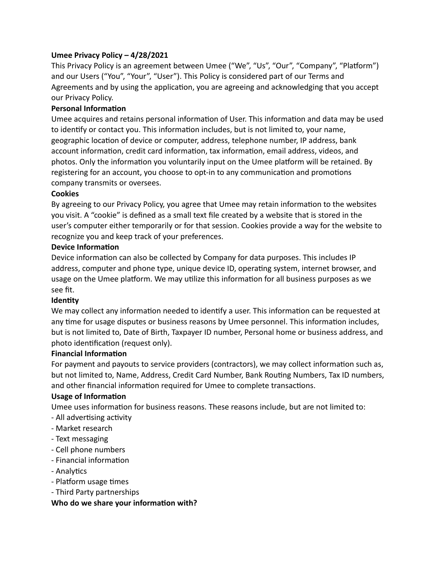# **Umee Privacy Policy – 4/28/2021**

This Privacy Policy is an agreement between Umee ("We", "Us", "Our", "Company", "Platform") and our Users ("You", "Your", "User"). This Policy is considered part of our Terms and Agreements and by using the application, you are agreeing and acknowledging that you accept our Privacy Policy.

## **Personal Information**

Umee acquires and retains personal information of User. This information and data may be used to identify or contact you. This information includes, but is not limited to, your name, geographic location of device or computer, address, telephone number, IP address, bank account information, credit card information, tax information, email address, videos, and photos. Only the information you voluntarily input on the Umee platform will be retained. By registering for an account, you choose to opt-in to any communication and promotions company transmits or oversees.

#### **Cookies**

By agreeing to our Privacy Policy, you agree that Umee may retain information to the websites you visit. A "cookie" is defined as a small text file created by a website that is stored in the user's computer either temporarily or for that session. Cookies provide a way for the website to recognize you and keep track of your preferences.

#### **Device Information**

Device information can also be collected by Company for data purposes. This includes IP address, computer and phone type, unique device ID, operating system, internet browser, and usage on the Umee platform. We may utilize this information for all business purposes as we see fit.

#### **Identity**

We may collect any information needed to identify a user. This information can be requested at any time for usage disputes or business reasons by Umee personnel. This information includes, but is not limited to, Date of Birth, Taxpayer ID number, Personal home or business address, and photo identification (request only).

#### **Financial Information**

For payment and payouts to service providers (contractors), we may collect information such as, but not limited to, Name, Address, Credit Card Number, Bank Routing Numbers, Tax ID numbers, and other financial information required for Umee to complete transactions.

#### **Usage of Information**

Umee uses information for business reasons. These reasons include, but are not limited to:

- All advertising activity
- Market research
- Text messaging
- Cell phone numbers
- Financial information
- Analytics
- Platform usage times
- Third Party partnerships

#### **Who do we share your information with?**